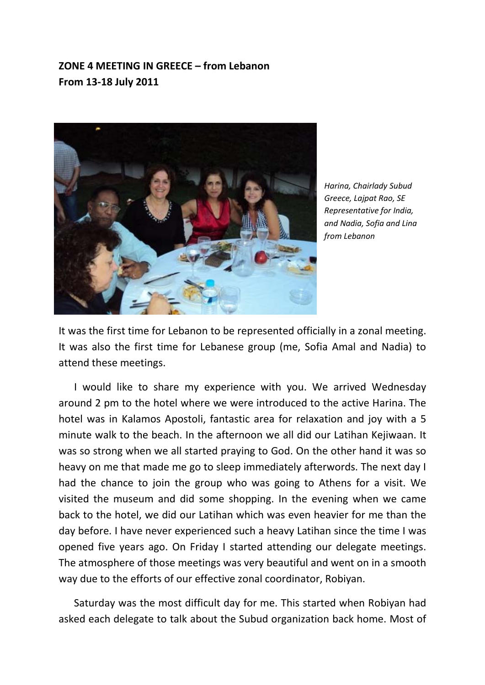## **ZONE 4 MEETING IN GREECE – from Lebanon From 13-18 July 2011**



*Harina, Chairlady Subud Greece, Lajpat Rao, SE Representative for India, and Nadia, Sofia and Lina from Lebanon*

It was the first time for Lebanon to be represented officially in a zonal meeting. It was also the first time for Lebanese group (me, Sofia Amal and Nadia) to attend these meetings.

 I would like to share my experience with you. We arrived Wednesday around 2 pm to the hotel where we were introduced to the active Harina. The hotel was in Kalamos Apostoli, fantastic area for relaxation and joy with a 5 minute walk to the beach. In the afternoon we all did our Latihan Kejiwaan. It was so strong when we all started praying to God. On the other hand it was so heavy on me that made me go to sleep immediately afterwords. The next day I had the chance to join the group who was going to Athens for a visit. We visited the museum and did some shopping. In the evening when we came back to the hotel, we did our Latihan which was even heavier for me than the day before. I have never experienced such a heavy Latihan since the time I was opened five years ago. On Friday I started attending our delegate meetings. The atmosphere of those meetings was very beautiful and went on in a smooth way due to the efforts of our effective zonal coordinator, Robiyan.

 Saturday was the most difficult day for me. This started when Robiyan had asked each delegate to talk about the Subud organization back home. Most of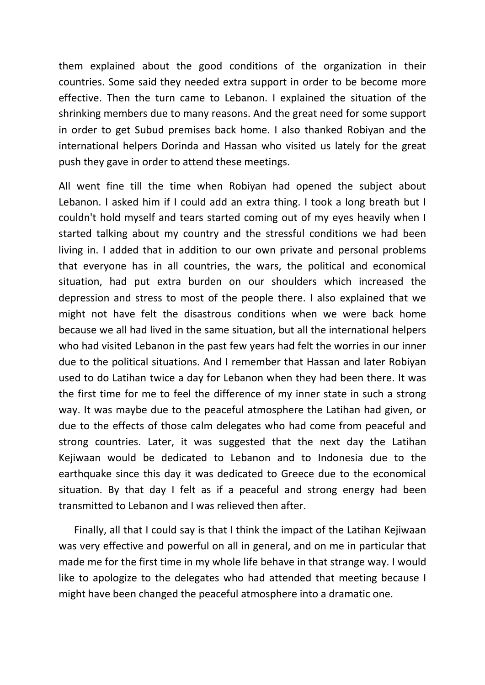them explained about the good conditions of the organization in their countries. Some said they needed extra support in order to be become more effective. Then the turn came to Lebanon. I explained the situation of the shrinking members due to many reasons. And the great need for some support in order to get Subud premises back home. I also thanked Robiyan and the international helpers Dorinda and Hassan who visited us lately for the great push they gave in order to attend these meetings.

All went fine till the time when Robiyan had opened the subject about Lebanon. I asked him if I could add an extra thing. I took a long breath but I couldn't hold myself and tears started coming out of my eyes heavily when I started talking about my country and the stressful conditions we had been living in. I added that in addition to our own private and personal problems that everyone has in all countries, the wars, the political and economical situation, had put extra burden on our shoulders which increased the depression and stress to most of the people there. I also explained that we might not have felt the disastrous conditions when we were back home because we all had lived in the same situation, but all the international helpers who had visited Lebanon in the past few years had felt the worries in our inner due to the political situations. And I remember that Hassan and later Robiyan used to do Latihan twice a day for Lebanon when they had been there. It was the first time for me to feel the difference of my inner state in such a strong way. It was maybe due to the peaceful atmosphere the Latihan had given, or due to the effects of those calm delegates who had come from peaceful and strong countries. Later, it was suggested that the next day the Latihan Kejiwaan would be dedicated to Lebanon and to Indonesia due to the earthquake since this day it was dedicated to Greece due to the economical situation. By that day I felt as if a peaceful and strong energy had been transmitted to Lebanon and I was relieved then after.

 Finally, all that I could say is that I think the impact of the Latihan Kejiwaan was very effective and powerful on all in general, and on me in particular that made me for the first time in my whole life behave in that strange way. I would like to apologize to the delegates who had attended that meeting because I might have been changed the peaceful atmosphere into a dramatic one.